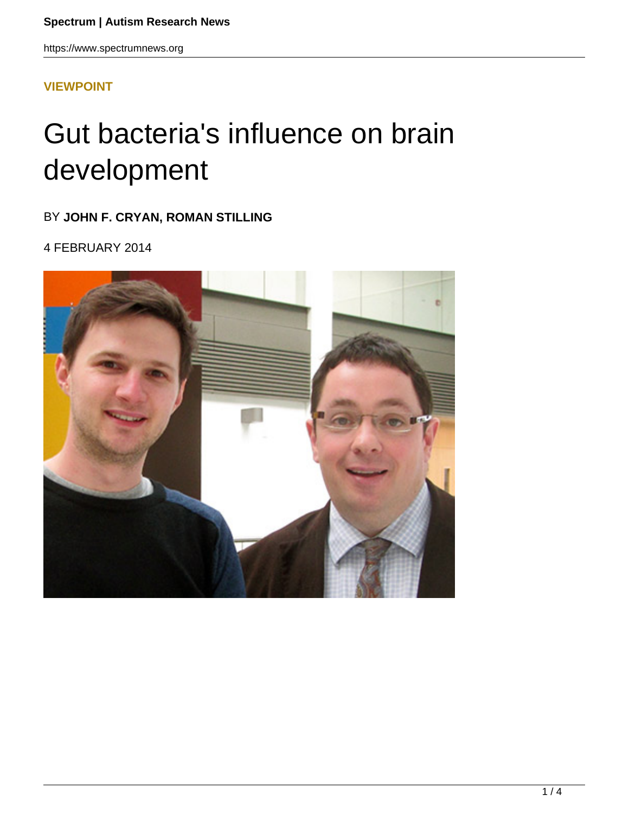https://www.spectrumnews.org

## **[VIEWPOINT](HTTPS://WWW.SPECTRUMNEWS.ORG/OPINION/VIEWPOINT/)**

## Gut bacteria's influence on brain development

## BY **JOHN F. CRYAN, ROMAN STILLING**

4 FEBRUARY 2014

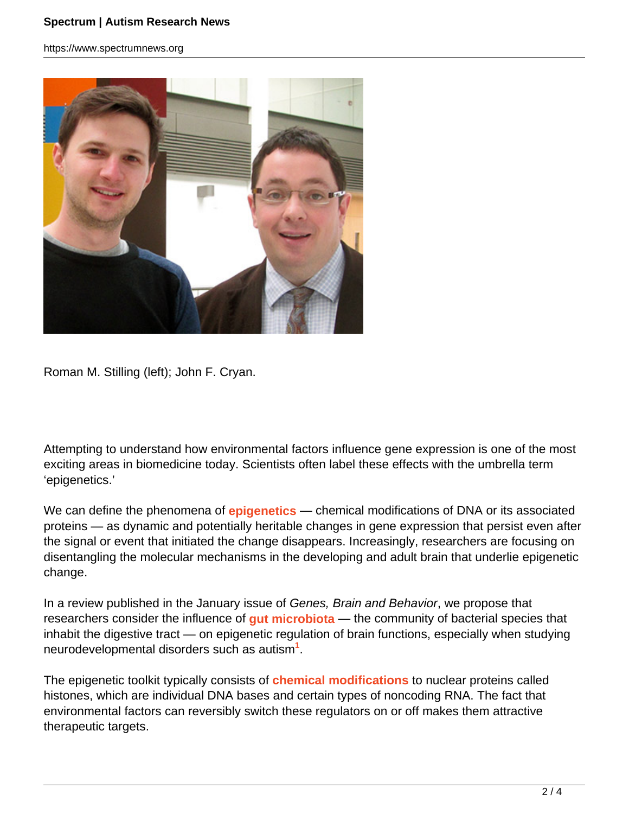https://www.spectrumnews.org



Roman M. Stilling (left); John F. Cryan.

Attempting to understand how environmental factors influence gene expression is one of the most exciting areas in biomedicine today. Scientists often label these effects with the umbrella term 'epigenetics.'

We can define the phenomena of **epigenetics** — chemical modifications of DNA or its associated proteins — as dynamic and potentially heritable changes in gene expression that persist even after the signal or event that initiated the change disappears. Increasingly, researchers are focusing on disentangling the molecular mechanisms in the developing and adult brain that underlie epigenetic change.

In a review published in the January issue of Genes, Brain and Behavior, we propose that researchers consider the influence of **gut microbiota** — the community of bacterial species that inhabit the digestive tract — on epigenetic regulation of brain functions, especially when studying neurodevelopmental disorders such as autism**<sup>1</sup>** .

The epigenetic toolkit typically consists of **chemical modifications** to nuclear proteins called histones, which are individual DNA bases and certain types of noncoding RNA. The fact that environmental factors can reversibly switch these regulators on or off makes them attractive therapeutic targets.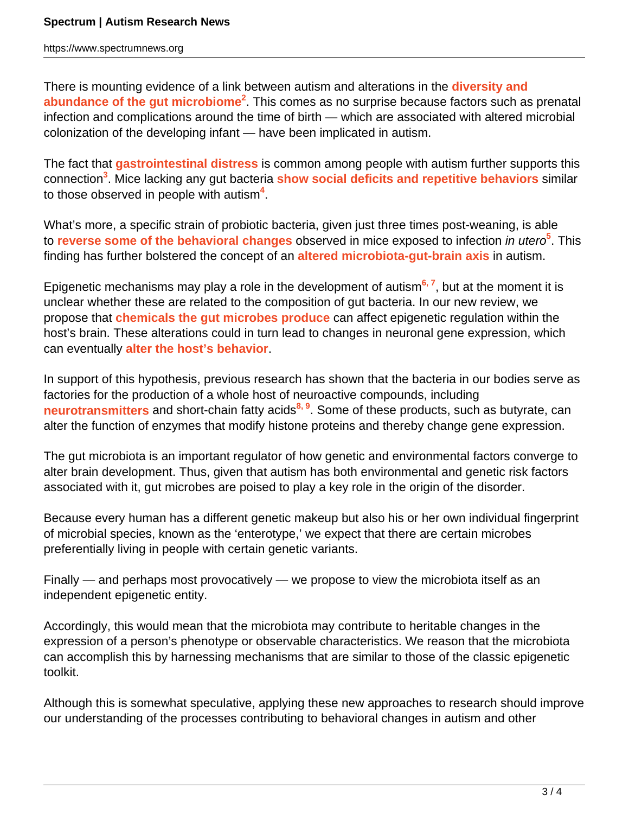https://www.spectrumnews.org

There is mounting evidence of a link between autism and alterations in the **diversity and abundance of the gut microbiome<sup>2</sup>** . This comes as no surprise because factors such as prenatal infection and complications around the time of birth — which are associated with altered microbial colonization of the developing infant — have been implicated in autism.

The fact that **gastrointestinal distress** is common among people with autism further supports this connection**<sup>3</sup>** . Mice lacking any gut bacteria **show social deficits and repetitive behaviors** similar to those observed in people with autism**<sup>4</sup>** .

What's more, a specific strain of probiotic bacteria, given just three times post-weaning, is able to **reverse some of the behavioral changes** observed in mice exposed to infection *in utero*<sup>5</sup>. This finding has further bolstered the concept of an **altered microbiota-gut-brain axis** in autism.

Epigenetic mechanisms may play a role in the development of autism**6, 7**, but at the moment it is unclear whether these are related to the composition of gut bacteria. In our new review, we propose that **chemicals the gut microbes produce** can affect epigenetic regulation within the host's brain. These alterations could in turn lead to changes in neuronal gene expression, which can eventually **alter the host's behavior**.

In support of this hypothesis, previous research has shown that the bacteria in our bodies serve as factories for the production of a whole host of neuroactive compounds, including **neurotransmitters** and short-chain fatty acids**8, 9**. Some of these products, such as butyrate, can alter the function of enzymes that modify histone proteins and thereby change gene expression.

The gut microbiota is an important regulator of how genetic and environmental factors converge to alter brain development. Thus, given that autism has both environmental and genetic risk factors associated with it, gut microbes are poised to play a key role in the origin of the disorder.

Because every human has a different genetic makeup but also his or her own individual fingerprint of microbial species, known as the 'enterotype,' we expect that there are certain microbes preferentially living in people with certain genetic variants.

Finally — and perhaps most provocatively — we propose to view the microbiota itself as an independent epigenetic entity.

Accordingly, this would mean that the microbiota may contribute to heritable changes in the expression of a person's phenotype or observable characteristics. We reason that the microbiota can accomplish this by harnessing mechanisms that are similar to those of the classic epigenetic toolkit.

Although this is somewhat speculative, applying these new approaches to research should improve our understanding of the processes contributing to behavioral changes in autism and other